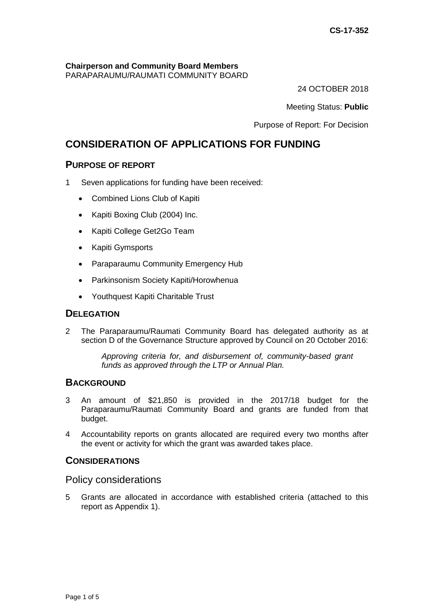# **Chairperson and Community Board Members**

PARAPARAUMU/RAUMATI COMMUNITY BOARD

24 OCTOBER 2018

Meeting Status: **Public**

Purpose of Report: For Decision

# **CONSIDERATION OF APPLICATIONS FOR FUNDING**

# **PURPOSE OF REPORT**

- 1 Seven applications for funding have been received:
	- Combined Lions Club of Kapiti
	- Kapiti Boxing Club (2004) Inc.
	- Kapiti College Get2Go Team
	- Kapiti Gymsports
	- Paraparaumu Community Emergency Hub
	- Parkinsonism Society Kapiti/Horowhenua
	- Youthquest Kapiti Charitable Trust

# **DELEGATION**

2 The Paraparaumu/Raumati Community Board has delegated authority as at section D of the Governance Structure approved by Council on 20 October 2016:

> *Approving criteria for, and disbursement of, community-based grant funds as approved through the LTP or Annual Plan.*

# **BACKGROUND**

- 3 An amount of \$21,850 is provided in the 2017/18 budget for the Paraparaumu/Raumati Community Board and grants are funded from that budget.
- 4 Accountability reports on grants allocated are required every two months after the event or activity for which the grant was awarded takes place.

## **CONSIDERATIONS**

### Policy considerations

5 Grants are allocated in accordance with established criteria (attached to this report as Appendix 1).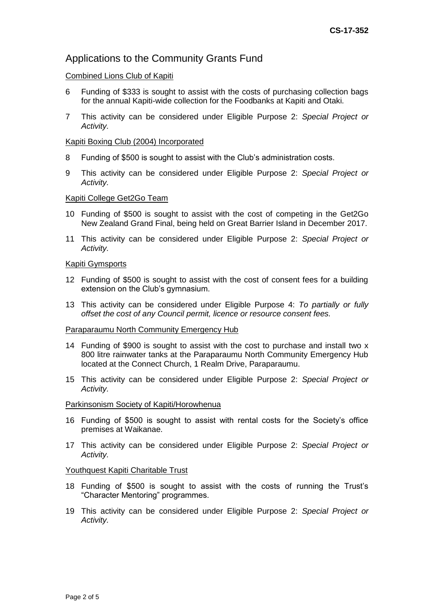# Applications to the Community Grants Fund

#### Combined Lions Club of Kapiti

- 6 Funding of \$333 is sought to assist with the costs of purchasing collection bags for the annual Kapiti-wide collection for the Foodbanks at Kapiti and Otaki.
- 7 This activity can be considered under Eligible Purpose 2: *Special Project or Activity.*

#### Kapiti Boxing Club (2004) Incorporated

- 8 Funding of \$500 is sought to assist with the Club's administration costs.
- 9 This activity can be considered under Eligible Purpose 2: *Special Project or Activity.*

#### Kapiti College Get2Go Team

- 10 Funding of \$500 is sought to assist with the cost of competing in the Get2Go New Zealand Grand Final, being held on Great Barrier Island in December 2017.
- 11 This activity can be considered under Eligible Purpose 2: *Special Project or Activity.*

#### Kapiti Gymsports

- 12 Funding of \$500 is sought to assist with the cost of consent fees for a building extension on the Club's gymnasium.
- 13 This activity can be considered under Eligible Purpose 4: *To partially or fully offset the cost of any Council permit, licence or resource consent fees.*

#### Paraparaumu North Community Emergency Hub

- 14 Funding of \$900 is sought to assist with the cost to purchase and install two x 800 litre rainwater tanks at the Paraparaumu North Community Emergency Hub located at the Connect Church, 1 Realm Drive, Paraparaumu.
- 15 This activity can be considered under Eligible Purpose 2: *Special Project or Activity.*

#### Parkinsonism Society of Kapiti/Horowhenua

- 16 Funding of \$500 is sought to assist with rental costs for the Society's office premises at Waikanae.
- 17 This activity can be considered under Eligible Purpose 2: *Special Project or Activity.*

#### Youthquest Kapiti Charitable Trust

- 18 Funding of \$500 is sought to assist with the costs of running the Trust's "Character Mentoring" programmes.
- 19 This activity can be considered under Eligible Purpose 2: *Special Project or Activity.*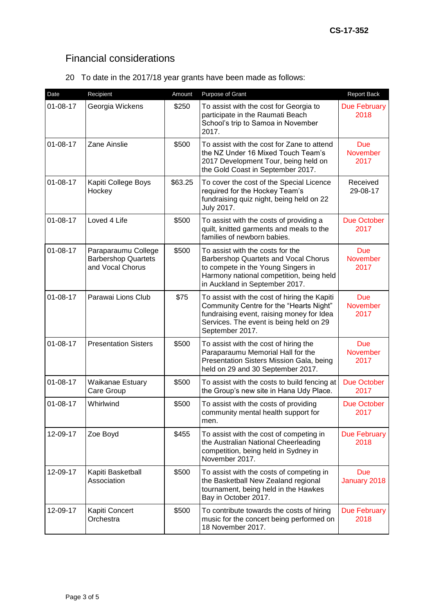# Financial considerations

20 To date in the 2017/18 year grants have been made as follows:

| Date           | Recipient                                                             | Amount  | Purpose of Grant                                                                                                                                                                                   | <b>Report Back</b>                    |
|----------------|-----------------------------------------------------------------------|---------|----------------------------------------------------------------------------------------------------------------------------------------------------------------------------------------------------|---------------------------------------|
| $01 - 08 - 17$ | Georgia Wickens                                                       | \$250   | To assist with the cost for Georgia to<br>participate in the Raumati Beach<br>School's trip to Samoa in November<br>2017.                                                                          | <b>Due February</b><br>2018           |
| $01 - 08 - 17$ | Zane Ainslie                                                          | \$500   | To assist with the cost for Zane to attend<br>the NZ Under 16 Mixed Touch Team's<br>2017 Development Tour, being held on<br>the Gold Coast in September 2017.                                      | <b>Due</b><br><b>November</b><br>2017 |
| $01 - 08 - 17$ | Kapiti College Boys<br>Hockey                                         | \$63.25 | To cover the cost of the Special Licence<br>required for the Hockey Team's<br>fundraising quiz night, being held on 22<br>July 2017.                                                               | Received<br>29-08-17                  |
| $01 - 08 - 17$ | Loved 4 Life                                                          | \$500   | To assist with the costs of providing a<br>quilt, knitted garments and meals to the<br>families of newborn babies.                                                                                 | Due October<br>2017                   |
| $01 - 08 - 17$ | Paraparaumu College<br><b>Barbershop Quartets</b><br>and Vocal Chorus | \$500   | To assist with the costs for the<br>Barbershop Quartets and Vocal Chorus<br>to compete in the Young Singers in<br>Harmony national competition, being held<br>in Auckland in September 2017.       | <b>Due</b><br><b>November</b><br>2017 |
| $01 - 08 - 17$ | Parawai Lions Club                                                    | \$75    | To assist with the cost of hiring the Kapiti<br>Community Centre for the "Hearts Night"<br>fundraising event, raising money for Idea<br>Services. The event is being held on 29<br>September 2017. | <b>Due</b><br>November<br>2017        |
| $01 - 08 - 17$ | <b>Presentation Sisters</b>                                           | \$500   | To assist with the cost of hiring the<br>Paraparaumu Memorial Hall for the<br>Presentation Sisters Mission Gala, being<br>held on 29 and 30 September 2017.                                        | <b>Due</b><br><b>November</b><br>2017 |
| $01 - 08 - 17$ | Waikanae Estuary<br>Care Group                                        | \$500   | To assist with the costs to build fencing at<br>the Group's new site in Hana Udy Place.                                                                                                            | Due October<br>2017                   |
| $01 - 08 - 17$ | Whirlwind                                                             | \$500   | To assist with the costs of providing<br>community mental health support for<br>men.                                                                                                               | Due October<br>2017                   |
| 12-09-17       | Zoe Boyd                                                              | \$455   | To assist with the cost of competing in<br>the Australian National Cheerleading<br>competition, being held in Sydney in<br>November 2017.                                                          | Due February<br>2018                  |
| 12-09-17       | Kapiti Basketball<br>Association                                      | \$500   | To assist with the costs of competing in<br>the Basketball New Zealand regional<br>tournament, being held in the Hawkes<br>Bay in October 2017.                                                    | <b>Due</b><br>January 2018            |
| 12-09-17       | Kapiti Concert<br>Orchestra                                           | \$500   | To contribute towards the costs of hiring<br>music for the concert being performed on<br>18 November 2017.                                                                                         | <b>Due February</b><br>2018           |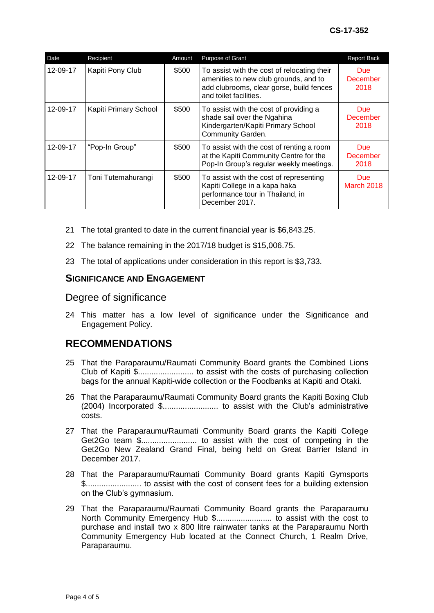| Date     | Recipient             | Amount | Purpose of Grant                                                                                                                                           | <b>Report Back</b>                    |
|----------|-----------------------|--------|------------------------------------------------------------------------------------------------------------------------------------------------------------|---------------------------------------|
| 12-09-17 | Kapiti Pony Club      | \$500  | To assist with the cost of relocating their<br>amenities to new club grounds, and to<br>add clubrooms, clear gorse, build fences<br>and toilet facilities. | <b>Due</b><br>December<br>2018        |
| 12-09-17 | Kapiti Primary School | \$500  | To assist with the cost of providing a<br>shade sail over the Ngahina<br>Kindergarten/Kapiti Primary School<br>Community Garden.                           | <b>Due</b><br>December<br>2018        |
| 12-09-17 | "Pop-In Group"        | \$500  | To assist with the cost of renting a room<br>at the Kapiti Community Centre for the<br>Pop-In Group's regular weekly meetings.                             | <b>Due</b><br><b>December</b><br>2018 |
| 12-09-17 | Toni Tutemahurangi    | \$500  | To assist with the cost of representing<br>Kapiti College in a kapa haka<br>performance tour in Thailand, in<br>December 2017.                             | Due:<br><b>March 2018</b>             |

- 21 The total granted to date in the current financial year is \$6,843.25.
- 22 The balance remaining in the 2017/18 budget is \$15,006.75.
- 23 The total of applications under consideration in this report is \$3,733.

#### **SIGNIFICANCE AND ENGAGEMENT**

## Degree of significance

24 This matter has a low level of significance under the Significance and Engagement Policy.

# **RECOMMENDATIONS**

- 25 That the Paraparaumu/Raumati Community Board grants the Combined Lions Club of Kapiti \$......................... to assist with the costs of purchasing collection bags for the annual Kapiti-wide collection or the Foodbanks at Kapiti and Otaki.
- 26 That the Paraparaumu/Raumati Community Board grants the Kapiti Boxing Club (2004) Incorporated \$......................... to assist with the Club's administrative costs.
- 27 That the Paraparaumu/Raumati Community Board grants the Kapiti College Get2Go team \$......................... to assist with the cost of competing in the Get2Go New Zealand Grand Final, being held on Great Barrier Island in December 2017.
- 28 That the Paraparaumu/Raumati Community Board grants Kapiti Gymsports \$......................... to assist with the cost of consent fees for a building extension on the Club's gymnasium.
- 29 That the Paraparaumu/Raumati Community Board grants the Paraparaumu North Community Emergency Hub \$......................... to assist with the cost to purchase and install two x 800 litre rainwater tanks at the Paraparaumu North Community Emergency Hub located at the Connect Church, 1 Realm Drive, Paraparaumu.